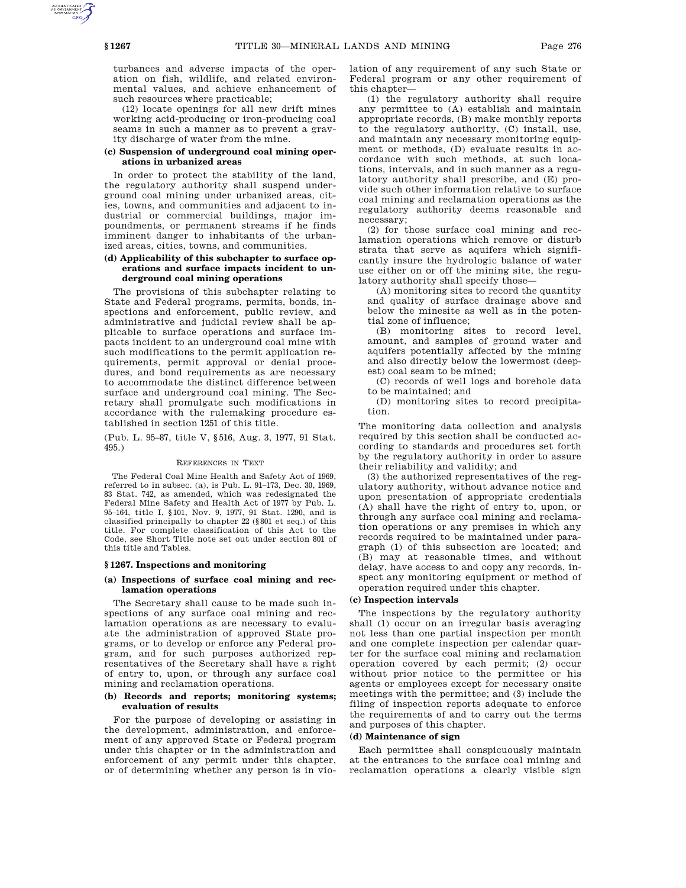turbances and adverse impacts of the operation on fish, wildlife, and related environmental values, and achieve enhancement of such resources where practicable;

(12) locate openings for all new drift mines working acid-producing or iron-producing coal seams in such a manner as to prevent a gravity discharge of water from the mine.

# **(c) Suspension of underground coal mining operations in urbanized areas**

In order to protect the stability of the land, the regulatory authority shall suspend underground coal mining under urbanized areas, cities, towns, and communities and adjacent to industrial or commercial buildings, major impoundments, or permanent streams if he finds imminent danger to inhabitants of the urbanized areas, cities, towns, and communities.

# **(d) Applicability of this subchapter to surface operations and surface impacts incident to underground coal mining operations**

The provisions of this subchapter relating to State and Federal programs, permits, bonds, inspections and enforcement, public review, and administrative and judicial review shall be applicable to surface operations and surface impacts incident to an underground coal mine with such modifications to the permit application requirements, permit approval or denial procedures, and bond requirements as are necessary to accommodate the distinct difference between surface and underground coal mining. The Secretary shall promulgate such modifications in accordance with the rulemaking procedure established in section 1251 of this title.

(Pub. L. 95–87, title V, §516, Aug. 3, 1977, 91 Stat. 495.)

### REFERENCES IN TEXT

The Federal Coal Mine Health and Safety Act of 1969, referred to in subsec. (a), is Pub. L. 91–173, Dec. 30, 1969, 83 Stat. 742, as amended, which was redesignated the Federal Mine Safety and Health Act of 1977 by Pub. L. 95–164, title I, §101, Nov. 9, 1977, 91 Stat. 1290, and is classified principally to chapter 22 (§801 et seq.) of this title. For complete classification of this Act to the Code, see Short Title note set out under section 801 of this title and Tables.

### **§ 1267. Inspections and monitoring**

## **(a) Inspections of surface coal mining and reclamation operations**

The Secretary shall cause to be made such inspections of any surface coal mining and reclamation operations as are necessary to evaluate the administration of approved State programs, or to develop or enforce any Federal program, and for such purposes authorized representatives of the Secretary shall have a right of entry to, upon, or through any surface coal mining and reclamation operations.

## **(b) Records and reports; monitoring systems; evaluation of results**

For the purpose of developing or assisting in the development, administration, and enforcement of any approved State or Federal program under this chapter or in the administration and enforcement of any permit under this chapter, or of determining whether any person is in violation of any requirement of any such State or Federal program or any other requirement of this chapter-

(1) the regulatory authority shall require any permittee to (A) establish and maintain appropriate records, (B) make monthly reports to the regulatory authority, (C) install, use, and maintain any necessary monitoring equipment or methods, (D) evaluate results in accordance with such methods, at such locations, intervals, and in such manner as a regulatory authority shall prescribe, and (E) provide such other information relative to surface coal mining and reclamation operations as the regulatory authority deems reasonable and necessary;

(2) for those surface coal mining and reclamation operations which remove or disturb strata that serve as aquifers which significantly insure the hydrologic balance of water use either on or off the mining site, the regulatory authority shall specify those—

(A) monitoring sites to record the quantity and quality of surface drainage above and below the minesite as well as in the potential zone of influence;

(B) monitoring sites to record level, amount, and samples of ground water and aquifers potentially affected by the mining and also directly below the lowermost (deepest) coal seam to be mined;

(C) records of well logs and borehole data to be maintained; and

(D) monitoring sites to record precipitation.

The monitoring data collection and analysis required by this section shall be conducted according to standards and procedures set forth by the regulatory authority in order to assure their reliability and validity; and

(3) the authorized representatives of the regulatory authority, without advance notice and upon presentation of appropriate credentials (A) shall have the right of entry to, upon, or through any surface coal mining and reclamation operations or any premises in which any records required to be maintained under paragraph (1) of this subsection are located; and (B) may at reasonable times, and without delay, have access to and copy any records, inspect any monitoring equipment or method of operation required under this chapter.

### **(c) Inspection intervals**

The inspections by the regulatory authority shall (1) occur on an irregular basis averaging not less than one partial inspection per month and one complete inspection per calendar quarter for the surface coal mining and reclamation operation covered by each permit; (2) occur without prior notice to the permittee or his agents or employees except for necessary onsite meetings with the permittee; and (3) include the filing of inspection reports adequate to enforce the requirements of and to carry out the terms and purposes of this chapter.

### **(d) Maintenance of sign**

Each permittee shall conspicuously maintain at the entrances to the surface coal mining and reclamation operations a clearly visible sign